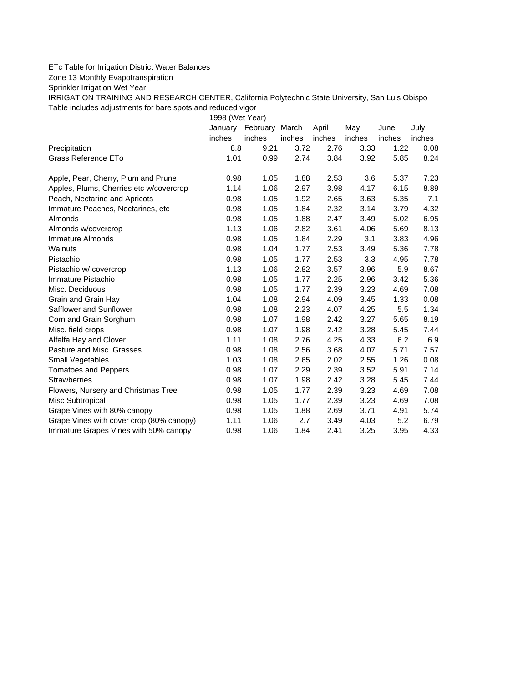## ETc Table for Irrigation District Water Balances

Zone 13 Monthly Evapotranspiration

Sprinkler Irrigation Wet Year

IRRIGATION TRAINING AND RESEARCH CENTER, California Polytechnic State University, San Luis Obispo Table includes adjustments for bare spots and reduced vigor

1998 (Wet Year)

|                                          | January | February March |        | April  | May    | June   | July   |
|------------------------------------------|---------|----------------|--------|--------|--------|--------|--------|
|                                          | inches  | inches         | inches | inches | inches | inches | inches |
| Precipitation                            | 8.8     | 9.21           | 3.72   | 2.76   | 3.33   | 1.22   | 0.08   |
| Grass Reference ETo                      | 1.01    | 0.99           | 2.74   | 3.84   | 3.92   | 5.85   | 8.24   |
| Apple, Pear, Cherry, Plum and Prune      | 0.98    | 1.05           | 1.88   | 2.53   | 3.6    | 5.37   | 7.23   |
| Apples, Plums, Cherries etc w/covercrop  | 1.14    | 1.06           | 2.97   | 3.98   | 4.17   | 6.15   | 8.89   |
| Peach, Nectarine and Apricots            | 0.98    | 1.05           | 1.92   | 2.65   | 3.63   | 5.35   | 7.1    |
| Immature Peaches, Nectarines, etc.       | 0.98    | 1.05           | 1.84   | 2.32   | 3.14   | 3.79   | 4.32   |
| Almonds                                  | 0.98    | 1.05           | 1.88   | 2.47   | 3.49   | 5.02   | 6.95   |
| Almonds w/covercrop                      | 1.13    | 1.06           | 2.82   | 3.61   | 4.06   | 5.69   | 8.13   |
| Immature Almonds                         | 0.98    | 1.05           | 1.84   | 2.29   | 3.1    | 3.83   | 4.96   |
| Walnuts                                  | 0.98    | 1.04           | 1.77   | 2.53   | 3.49   | 5.36   | 7.78   |
| Pistachio                                | 0.98    | 1.05           | 1.77   | 2.53   | 3.3    | 4.95   | 7.78   |
| Pistachio w/ covercrop                   | 1.13    | 1.06           | 2.82   | 3.57   | 3.96   | 5.9    | 8.67   |
| Immature Pistachio                       | 0.98    | 1.05           | 1.77   | 2.25   | 2.96   | 3.42   | 5.36   |
| Misc. Deciduous                          | 0.98    | 1.05           | 1.77   | 2.39   | 3.23   | 4.69   | 7.08   |
| Grain and Grain Hay                      | 1.04    | 1.08           | 2.94   | 4.09   | 3.45   | 1.33   | 0.08   |
| Safflower and Sunflower                  | 0.98    | 1.08           | 2.23   | 4.07   | 4.25   | 5.5    | 1.34   |
| Corn and Grain Sorghum                   | 0.98    | 1.07           | 1.98   | 2.42   | 3.27   | 5.65   | 8.19   |
| Misc. field crops                        | 0.98    | 1.07           | 1.98   | 2.42   | 3.28   | 5.45   | 7.44   |
| Alfalfa Hay and Clover                   | 1.11    | 1.08           | 2.76   | 4.25   | 4.33   | 6.2    | 6.9    |
| Pasture and Misc. Grasses                | 0.98    | 1.08           | 2.56   | 3.68   | 4.07   | 5.71   | 7.57   |
| Small Vegetables                         | 1.03    | 1.08           | 2.65   | 2.02   | 2.55   | 1.26   | 0.08   |
| <b>Tomatoes and Peppers</b>              | 0.98    | 1.07           | 2.29   | 2.39   | 3.52   | 5.91   | 7.14   |
| <b>Strawberries</b>                      | 0.98    | 1.07           | 1.98   | 2.42   | 3.28   | 5.45   | 7.44   |
| Flowers, Nursery and Christmas Tree      | 0.98    | 1.05           | 1.77   | 2.39   | 3.23   | 4.69   | 7.08   |
| Misc Subtropical                         | 0.98    | 1.05           | 1.77   | 2.39   | 3.23   | 4.69   | 7.08   |
| Grape Vines with 80% canopy              | 0.98    | 1.05           | 1.88   | 2.69   | 3.71   | 4.91   | 5.74   |
| Grape Vines with cover crop (80% canopy) | 1.11    | 1.06           | 2.7    | 3.49   | 4.03   | 5.2    | 6.79   |
| Immature Grapes Vines with 50% canopy    | 0.98    | 1.06           | 1.84   | 2.41   | 3.25   | 3.95   | 4.33   |